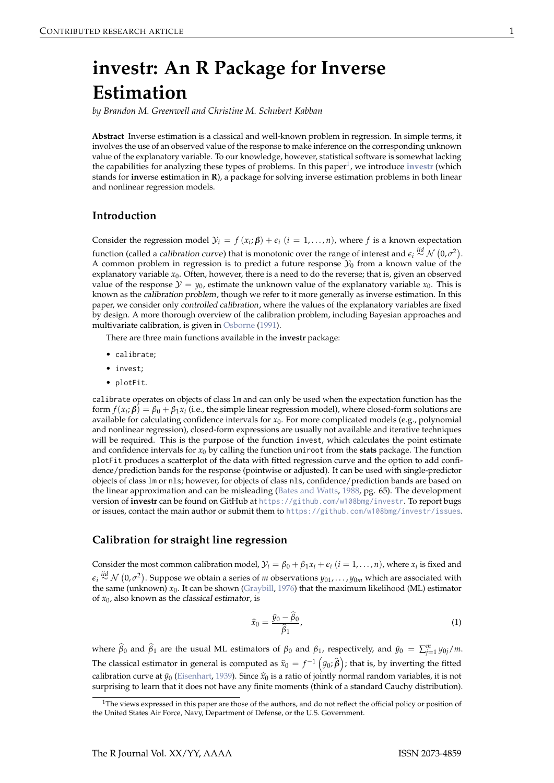# <span id="page-0-1"></span>**investr: An R Package for Inverse Estimation**

*by Brandon M. Greenwell and Christine M. Schubert Kabban*

**Abstract** Inverse estimation is a classical and well-known problem in regression. In simple terms, it involves the use of an observed value of the response to make inference on the corresponding unknown value of the explanatory variable. To our knowledge, however, statistical software is somewhat lacking the capabilities for analyzing these types of problems. In this paper<sup>1</sup>, we introduce [investr](http://CRAN.R-project.org/package=investr) (which stands for **inv**erse **est**imation in **R**), a package for solving inverse estimation problems in both linear and nonlinear regression models.

#### **Introduction**

Consider the regression model  $\mathcal{Y}_i = f(x_i; \boldsymbol{\beta}) + \epsilon_i$  ( $i = 1, ..., n$ ), where *f* is a known expectation function (called a *calibration curve*) that is monotonic over the range of interest and  $\epsilon_i \stackrel{iid}{\sim} \mathcal{N}\left(0,\sigma^2\right)$ . A common problem in regression is to predict a future response  $\mathcal{Y}_0$  from a known value of the explanatory variable *x*<sub>0</sub>. Often, however, there is a need to do the reverse; that is, given an observed value of the response  $\mathcal{Y} = \mathcal{Y}_0$ , estimate the unknown value of the explanatory variable  $x_0$ . This is known as the calibration problem, though we refer to it more generally as inverse estimation. In this paper, we consider only controlled calibration, where the values of the explanatory variables are fixed by design. A more thorough overview of the calibration problem, including Bayesian approaches and multivariate calibration, is given in [Osborne](#page-10-0) [\(1991\)](#page-10-0).

There are three main functions available in the **investr** package:

- calibrate;
- invest;
- plotFit.

calibrate operates on objects of class lm and can only be used when the expectation function has the form  $f(x_i; \beta) = \beta_0 + \beta_1 x_i$  (i.e., the simple linear regression model), where closed-form solutions are available for calculating confidence intervals for *x*0. For more complicated models (e.g., polynomial and nonlinear regression), closed-form expressions are usually not available and iterative techniques will be required. This is the purpose of the function invest, which calculates the point estimate and confidence intervals for *x*<sup>0</sup> by calling the function uniroot from the **stats** package. The function plotFit produces a scatterplot of the data with fitted regression curve and the option to add confidence/prediction bands for the response (pointwise or adjusted). It can be used with single-predictor objects of class lm or nls; however, for objects of class nls, confidence/prediction bands are based on the linear approximation and can be misleading [\(Bates and Watts,](#page-9-0) [1988,](#page-9-0) pg. 65). The development version of **investr** can be found on GitHub at <https://github.com/w108bmg/investr>. To report bugs or issues, contact the main author or submit them to <https://github.com/w108bmg/investr/issues>.

#### **Calibration for straight line regression**

Consider the most common calibration model,  $\mathcal{Y}_i = \beta_0 + \beta_1 x_i + \epsilon_i$  ( $i = 1, ..., n$ ), where  $x_i$  is fixed and *ei iid*∼ N 0, *σ* 2 . Suppose we obtain a series of *m* observations *y*01, . . . , *y*0*<sup>m</sup>* which are associated with the same (unknown) *x*0. It can be shown [\(Graybill,](#page-10-1) [1976\)](#page-10-1) that the maximum likelihood (ML) estimator of  $x_0$ , also known as the *classical* estimator, is

<span id="page-0-0"></span>
$$
\widehat{x}_0 = \frac{\bar{y}_0 - \widehat{\beta}_0}{\widehat{\beta}_1},\tag{1}
$$

where  $\widehat{\beta}_0$  and  $\widehat{\beta}_1$  are the usual ML estimators of  $\beta_0$  and  $\beta_1$ , respectively, and  $\bar{y}_0 = \sum_{j=1}^m y_{0j}/m$ . The classical estimator in general is computed as  $\hat{x}_0 = f^{-1} (y_0; \hat{\beta})$ ; that is, by inverting the fitted calibration curve at  $\bar{y}_0$  [\(Eisenhart,](#page-10-2) [1939\)](#page-10-2). Since  $\hat{x}_0$  is a ratio of jointly normal random variables, it is not surprising to learn that it does not have any finite moments (think of a standard Cauchy distribution).

<sup>&</sup>lt;sup>1</sup>The views expressed in this paper are those of the authors, and do not reflect the official policy or position of the United States Air Force, Navy, Department of Defense, or the U.S. Government.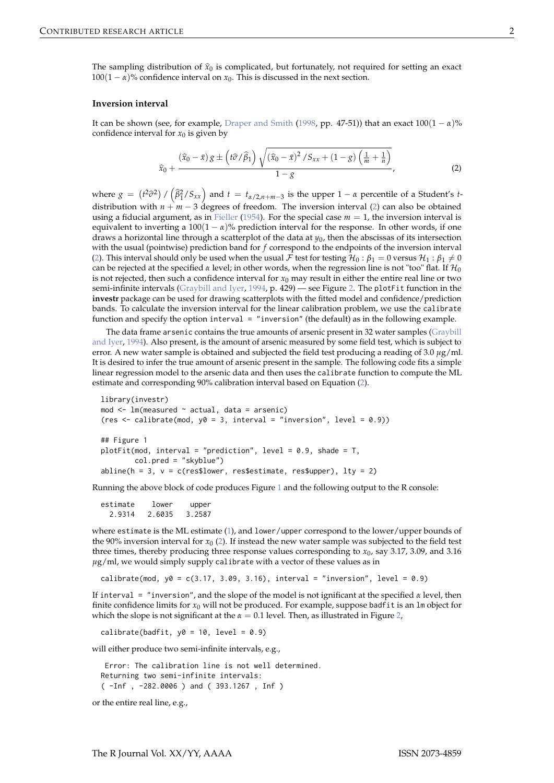<span id="page-1-1"></span>The sampling distribution of  $\hat{x}_0$  is complicated, but fortunately, not required for setting an exact  $100(1 - \alpha)$ % confidence interval on  $x_0$ . This is discussed in the next section.

#### **Inversion interval**

It can be shown (see, for example, [Draper and Smith](#page-9-1) [\(1998,](#page-9-1) pp. 47-51)) that an exact  $100(1 - \alpha)\%$ confidence interval for  $x_0$  is given by

<span id="page-1-0"></span>
$$
\widehat{x}_0 + \frac{(\widehat{x}_0 - \bar{x}) g \pm \left( t \widehat{\sigma} / \widehat{\beta}_1 \right) \sqrt{(\widehat{x}_0 - \bar{x})^2 / S_{xx} + (1 - g) \left( \frac{1}{m} + \frac{1}{n} \right)}}{1 - g},\tag{2}
$$

where  $g = (t^2\hat{\sigma}^2) / (\hat{\beta}_1^2/S_{xx})$  and  $t = t_{\alpha/2,n+m-3}$  is the upper  $1 - \alpha$  percentile of a Student's *t*distribution with  $n + m - 3$  degrees of freedom. The inversion interval [\(2\)](#page-1-0) can also be obtained using a fiducial argument, as in [Fieller](#page-10-3) [\(1954\)](#page-10-3). For the special case  $m = 1$ , the inversion interval is equivalent to inverting a  $100(1 - \alpha)$ % prediction interval for the response. In other words, if one draws a horizontal line through a scatterplot of the data at  $y_0$ , then the abscissas of its intersection with the usual (pointwise) prediction band for *f* correspond to the endpoints of the inversion interval [\(2\)](#page-1-0). This interval should only be used when the usual  $\cal F$  test for testing  $H_0: \beta_1=0$  versus  $H_1: \beta_1\neq 0$ can be rejected at the specified  $\alpha$  level; in other words, when the regression line is not "too" flat. If  $\mathcal{H}_0$ is not rejected, then such a confidence interval for  $x_0$  may result in either the entire real line or two semi-infinite intervals [\(Graybill and Iyer,](#page-10-4) [1994,](#page-10-4) p. 429) — see Figure [2.](#page-2-0) The plotFit function in the **investr** package can be used for drawing scatterplots with the fitted model and confidence/prediction bands. To calculate the inversion interval for the linear calibration problem, we use the calibrate function and specify the option interval  $=$  "inversion" (the default) as in the following example.

The data frame arsenic contains the true amounts of arsenic present in 32 water samples [\(Graybill](#page-10-4) [and Iyer,](#page-10-4) [1994\)](#page-10-4). Also present, is the amount of arsenic measured by some field test, which is subject to error. A new water sample is obtained and subjected the field test producing a reading of 3.0 *µ*g/ml. It is desired to infer the true amount of arsenic present in the sample. The following code fits a simple linear regression model to the arsenic data and then uses the calibrate function to compute the ML estimate and corresponding 90% calibration interval based on Equation [\(2\)](#page-1-0).

```
library(investr)
mod \leq 1m(measured \sim actual, data = arsenic)
(res \le calibrate(mod, y0 = 3, interval = "inversion", level = 0.9))
## Figure 1
plotFit(mod, interval = "prediction", level = 0.9, shade = T,
        col.pred = "skyblue")
abline(h = 3, v = c(res$lower, res$estimate, res$upper), 1ty = 2)
```
Running the above block of code produces Figure [1](#page-2-1) and the following output to the R console:

estimate lower upper 2.9314 2.6035 3.2587

where estimate is the ML estimate [\(1\)](#page-0-0), and lower/upper correspond to the lower/upper bounds of the 90% inversion interval for  $x_0$  [\(2\)](#page-1-0). If instead the new water sample was subjected to the field test three times, thereby producing three response values corresponding to  $x_0$ , say 3.17, 3.09, and 3.16 *µ*g/ml, we would simply supply calibrate with a vector of these values as in

calibrate(mod,  $y0 = c(3.17, 3.09, 3.16)$ , interval = "inversion", level = 0.9)

If interval = "inversion", and the slope of the model is not ignificant at the specified *α* level, then finite confidence limits for  $x_0$  will not be produced. For example, suppose badfit is an  $\text{Im}$  object for which the slope is not significant at the  $\alpha = 0.1$  level. Then, as illustrated in Figure [2,](#page-2-0)

calibrate(badfit,  $y0 = 10$ , level = 0.9)

will either produce two semi-infinite intervals, e.g.,

Error: The calibration line is not well determined. Returning two semi-infinite intervals: ( -Inf , -282.0006 ) and ( 393.1267 , Inf )

or the entire real line, e.g.,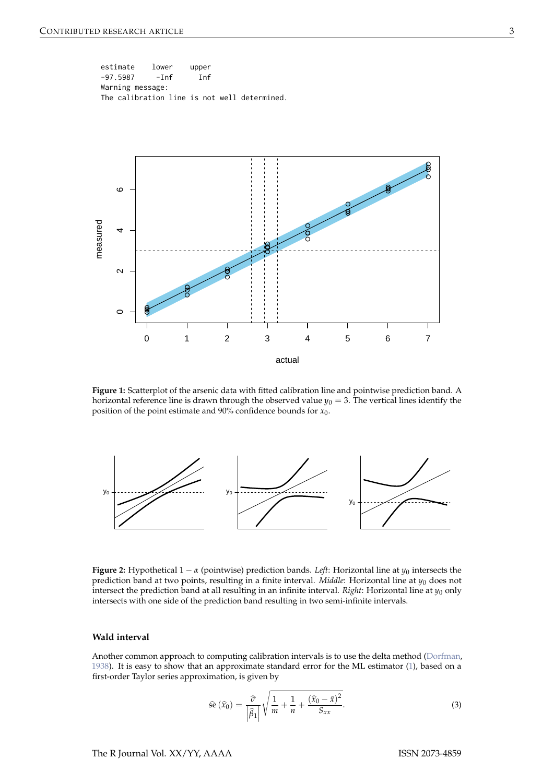<span id="page-2-3"></span>estimate lower upper -97.5987 -Inf Inf Warning message: The calibration line is not well determined.

<span id="page-2-1"></span>

**Figure 1:** Scatterplot of the arsenic data with fitted calibration line and pointwise prediction band. A horizontal reference line is drawn through the observed value  $y_0 = 3$ . The vertical lines identify the position of the point estimate and 90% confidence bounds for *x*0.

<span id="page-2-0"></span>

**Figure 2:** Hypothetical  $1 - \alpha$  (pointwise) prediction bands. *Left*: Horizontal line at  $y_0$  intersects the prediction band at two points, resulting in a finite interval. *Middle*: Horizontal line at *y*<sup>0</sup> does not intersect the prediction band at all resulting in an infinite interval. *Right*: Horizontal line at  $y_0$  only intersects with one side of the prediction band resulting in two semi-infinite intervals.

#### **Wald interval**

Another common approach to computing calibration intervals is to use the delta method [\(Dorfman,](#page-9-2) [1938\)](#page-9-2). It is easy to show that an approximate standard error for the ML estimator [\(1\)](#page-0-0), based on a first-order Taylor series approximation, is given by

<span id="page-2-2"></span>
$$
\hat{\mathbf{se}}\left(\widehat{x}_0\right) = \frac{\widehat{\sigma}}{\left|\widehat{\beta}_1\right|} \sqrt{\frac{1}{m} + \frac{1}{n} + \frac{\left(\widehat{x}_0 - \bar{x}\right)^2}{S_{xx}}}.\tag{3}
$$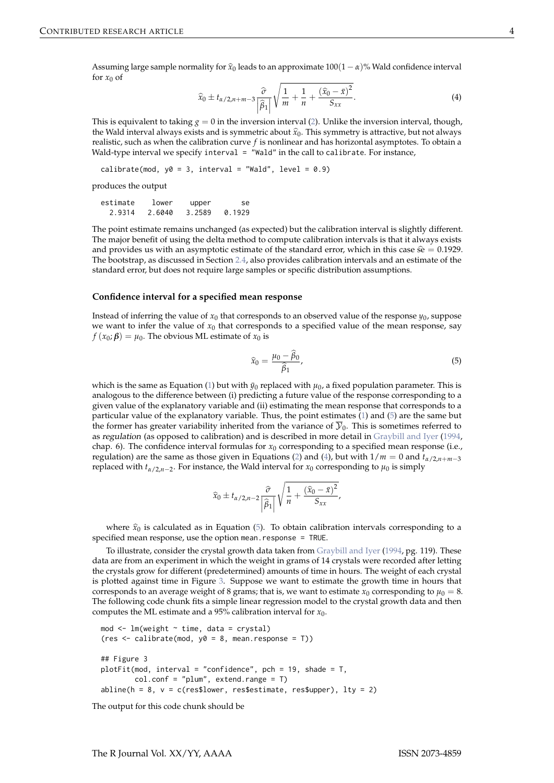<span id="page-3-2"></span><span id="page-3-1"></span>Assuming large sample normality for  $\hat{x}_0$  leads to an approximate  $100(1 - \alpha)$ % Wald confidence interval for  $x_0$  of

$$
\widehat{x}_0 \pm t_{\alpha/2,n+m-3} \frac{\widehat{\sigma}}{\left|\widehat{\beta}_1\right|} \sqrt{\frac{1}{m} + \frac{1}{n} + \frac{(\widehat{x}_0 - \bar{x})^2}{S_{xx}}}.
$$
\n(4)

This is equivalent to taking  $g = 0$  in the inversion interval  $(2)$ . Unlike the inversion interval, though, the Wald interval always exists and is symmetric about  $\hat{x}_0$ . This symmetry is attractive, but not always realistic, such as when the calibration curve *f* is nonlinear and has horizontal asymptotes. To obtain a Wald-type interval we specify interval = "Wald" in the call to calibrate. For instance,

calibrate(mod,  $y0 = 3$ , interval = "Wald", level = 0.9)

produces the output

| estimate | lower  | upper  | se.    |
|----------|--------|--------|--------|
| 2.9314   | 2.6040 | 3.2589 | 0.1929 |

The point estimate remains unchanged (as expected) but the calibration interval is slightly different. The major benefit of using the delta method to compute calibration intervals is that it always exists and provides us with an asymptotic estimate of the standard error, which in this case  $\hat{s} = 0.1929$ . The bootstrap, as discussed in Section [2.4,](#page-7-0) also provides calibration intervals and an estimate of the standard error, but does not require large samples or specific distribution assumptions.

#### **Confidence interval for a specified mean response**

Instead of inferring the value of  $x_0$  that corresponds to an observed value of the response  $y_0$ , suppose we want to infer the value of  $x_0$  that corresponds to a specified value of the mean response, say  $f(x_0; \beta) = \mu_0$ . The obvious ML estimate of  $x_0$  is

<span id="page-3-0"></span>
$$
\widehat{x}_0 = \frac{\mu_0 - \widehat{\beta}_0}{\widehat{\beta}_1},\tag{5}
$$

which is the same as Equation [\(1\)](#page-0-0) but with  $\bar{y}_0$  replaced with  $\mu_0$ , a fixed population parameter. This is analogous to the difference between (i) predicting a future value of the response corresponding to a given value of the explanatory variable and (ii) estimating the mean response that corresponds to a particular value of the explanatory variable. Thus, the point estimates  $(1)$  and  $(5)$  are the same but the former has greater variability inherited from the variance of  $\overline{y}_0$ . This is sometimes referred to as regulation (as opposed to calibration) and is described in more detail in [Graybill and Iyer](#page-10-4) [\(1994,](#page-10-4) chap. 6). The confidence interval formulas for  $x_0$  corresponding to a specified mean response (i.e., regulation) are the same as those given in Equations [\(2\)](#page-1-0) and [\(4\)](#page-3-1), but with  $1/m = 0$  and  $t_{\alpha/2,n+m-3}$ replaced with *tα*/2,*n*−<sup>2</sup> . For instance, the Wald interval for *x*<sup>0</sup> corresponding to *µ*<sup>0</sup> is simply

$$
\widehat{x}_0 \pm t_{\alpha/2,n-2} \frac{\widehat{\sigma}}{\left|\widehat{\beta}_1\right|} \sqrt{\frac{1}{n} + \frac{(\widehat{x}_0 - \bar{x})^2}{S_{xx}}},
$$

where  $\hat{x}_0$  is calculated as in Equation [\(5\)](#page-3-0). To obtain calibration intervals corresponding to a specified mean response, use the option mean.response = TRUE.

To illustrate, consider the crystal growth data taken from [Graybill and Iyer](#page-10-4) [\(1994,](#page-10-4) pg. 119). These data are from an experiment in which the weight in grams of 14 crystals were recorded after letting the crystals grow for different (predetermined) amounts of time in hours. The weight of each crystal is plotted against time in Figure [3.](#page-4-0) Suppose we want to estimate the growth time in hours that corresponds to an average weight of 8 grams; that is, we want to estimate  $x_0$  corresponding to  $\mu_0 = 8$ . The following code chunk fits a simple linear regression model to the crystal growth data and then computes the ML estimate and a 95% calibration interval for  $x_0$ .

```
mod < -1m(weight \sim time, data = crystal)
(res \leftarrow calibrate(mod, y0 = 8, mean.res్)## Figure 3
plotFit(mod, interval = "confidence", pch = 19, shade = T,
        col.config = "plum", extend_range = T)abline(h = 8, v = c(res$lower, res$estimate, res$upper), lty = 2)
```
The output for this code chunk should be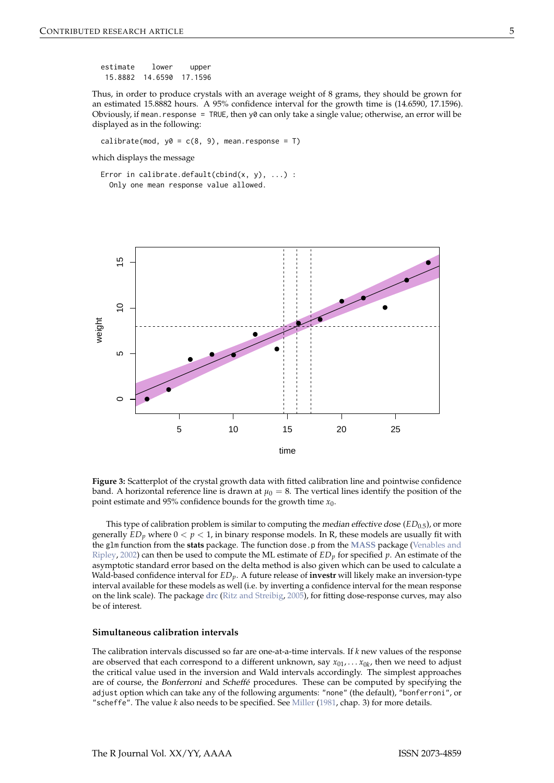<span id="page-4-1"></span>estimate lower upper 15.8882 14.6590 17.1596

Thus, in order to produce crystals with an average weight of 8 grams, they should be grown for an estimated 15.8882 hours. A 95% confidence interval for the growth time is (14.6590, 17.1596). Obviously, if mean. response = TRUE, then y0 can only take a single value; otherwise, an error will be displayed as in the following:

calibrate(mod,  $y0 = c(8, 9)$ , mean.response = T)

which displays the message

<span id="page-4-0"></span>Error in calibrate.default(cbind $(x, y), ...$ ) : Only one mean response value allowed.



**Figure 3:** Scatterplot of the crystal growth data with fitted calibration line and pointwise confidence band. A horizontal reference line is drawn at  $\mu_0 = 8$ . The vertical lines identify the position of the point estimate and 95% confidence bounds for the growth time *x*0.

This type of calibration problem is similar to computing the *median effective dose*  $(ED_{0.5})$ , or more generally  $ED_p$  where  $0 < p < 1$ , in binary response models. In R, these models are usually fit with the glm function from the **stats** package. The function dose.p from the **[MASS](http://CRAN.R-project.org/package=MASS)** package [\(Venables and](#page-10-5) [Ripley,](#page-10-5) [2002\)](#page-10-5) can then be used to compute the ML estimate of *EDp* for specified *p*. An estimate of the asymptotic standard error based on the delta method is also given which can be used to calculate a Wald-based confidence interval for *EDp*. A future release of **investr** will likely make an inversion-type interval available for these models as well (i.e. by inverting a confidence interval for the mean response on the link scale). The package **[drc](http://CRAN.R-project.org/package=drc)** [\(Ritz and Streibig,](#page-10-6) [2005\)](#page-10-6), for fitting dose-response curves, may also be of interest.

#### **Simultaneous calibration intervals**

The calibration intervals discussed so far are one-at-a-time intervals. If *k* new values of the response are observed that each correspond to a different unknown, say *x*01, . . . *x*0*<sup>k</sup>* , then we need to adjust the critical value used in the inversion and Wald intervals accordingly. The simplest approaches are of course, the Bonferroni and Scheffé procedures. These can be computed by specifying the adjust option which can take any of the following arguments: "none" (the default), "bonferroni", or "scheffe". The value *k* also needs to be specified. See [Miller](#page-10-7) [\(1981,](#page-10-7) chap. 3) for more details.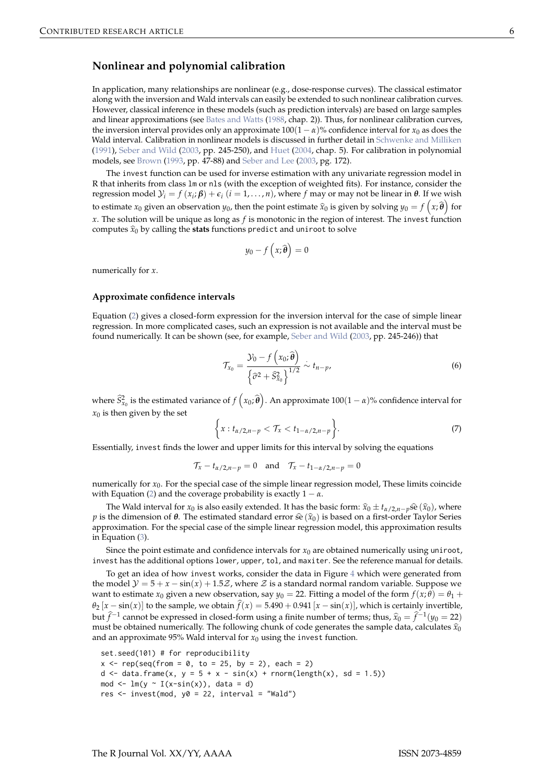# <span id="page-5-0"></span>**Nonlinear and polynomial calibration**

In application, many relationships are nonlinear (e.g., dose-response curves). The classical estimator along with the inversion and Wald intervals can easily be extended to such nonlinear calibration curves. However, classical inference in these models (such as prediction intervals) are based on large samples and linear approximations (see [Bates and Watts](#page-9-0) [\(1988,](#page-9-0) chap. 2)). Thus, for nonlinear calibration curves, the inversion interval provides only an approximate  $100(1 - \alpha)$ % confidence interval for  $x_0$  as does the Wald interval. Calibration in nonlinear models is discussed in further detail in [Schwenke and Milliken](#page-10-8) [\(1991\)](#page-10-8), [Seber and Wild](#page-10-9) [\(2003,](#page-10-9) pp. 245-250), and [Huet](#page-10-10) [\(2004,](#page-10-10) chap. 5). For calibration in polynomial models, see [Brown](#page-9-3) [\(1993,](#page-9-3) pp. 47-88) and [Seber and Lee](#page-10-11) [\(2003,](#page-10-11) pg. 172).

The invest function can be used for inverse estimation with any univariate regression model in R that inherits from class lm or nls (with the exception of weighted fits). For instance, consider the regression model  $\mathcal{Y}_i = f(x_i; \boldsymbol{\beta}) + \epsilon_i$  (*i* = 1, . . . , *n*), where *f* may or may not be linear in *θ*. If we wish to estimate  $x_0$  given an observation  $y_0$ , then the point estimate  $\hat{x}_0$  is given by solving  $y_0 = f(x; \hat{\theta})$  for *x*. The solution will be unique as long as *f* is monotonic in the region of interest. The invest function computes  $\hat{x}_0$  by calling the **stats** functions predict and uniroot to solve

$$
y_0 - f\left(x; \widehat{\boldsymbol{\theta}}\right) = 0
$$

numerically for *x*.

#### **Approximate confidence intervals**

Equation [\(2\)](#page-1-0) gives a closed-form expression for the inversion interval for the case of simple linear regression. In more complicated cases, such an expression is not available and the interval must be found numerically. It can be shown (see, for example, [Seber and Wild](#page-10-9) [\(2003,](#page-10-9) pp. 245-246)) that

$$
\mathcal{T}_{x_0} = \frac{\mathcal{Y}_0 - f\left(x_0; \widehat{\boldsymbol{\theta}}\right)}{\left\{\widehat{\sigma}^2 + \widehat{S}_{x_0}^2\right\}^{1/2}} \sim t_{n-p},\tag{6}
$$

where  $\widehat{S}_{x_0}^2$  is the estimated variance of  $f(x_0;\widehat{\theta})$ . An approximate  $100(1-\alpha)$ % confidence interval for  $x_0$  is then given by the set

$$
\left\{x: t_{\alpha/2,n-p} < \mathcal{T}_x < t_{1-\alpha/2,n-p}\right\}.\tag{7}
$$

Essentially, invest finds the lower and upper limits for this interval by solving the equations

$$
\mathcal{T}_x - t_{\alpha/2, n-p} = 0 \quad \text{and} \quad \mathcal{T}_x - t_{1-\alpha/2, n-p} = 0
$$

numerically for  $x_0$ . For the special case of the simple linear regression model, These limits coincide with Equation [\(2\)](#page-1-0) and the coverage probability is exactly  $1 - \alpha$ .

The Wald interval for *x*<sub>0</sub> is also easily extended. It has the basic form:  $\hat{x}_0 \pm t_{\alpha/2,n-p}$  se $(\hat{x}_0)$ , where *p* is the dimension of *θ*. The estimated standard error  $\hat{\mathfrak{se}}(\hat{x}_0)$  is based on a first-order Taylor Series approximation. For the special case of the simple linear regression model, this approximation results in Equation [\(3\)](#page-2-2).

Since the point estimate and confidence intervals for  $x_0$  are obtained numerically using uniroot, invest has the additional options lower, upper, tol, and maxiter. See the reference manual for details.

To get an idea of how invest works, consider the data in Figure [4](#page-6-0) which were generated from the model  $\mathcal{Y} = 5 + x - \sin(x) + 1.5\mathcal{Z}$ , where  $\mathcal Z$  is a standard normal random variable. Suppose we want to estimate  $x_0$  given a new observation, say  $y_0 = 22$ . Fitting a model of the form  $f(x; \theta) = \theta_1 + f(x; \theta)$  $\theta_2$  [*x* − sin(*x*)] to the sample, we obtain  $\hat{f}(x) = 5.490 + 0.941$  [*x* − sin(*x*)], which is certainly invertible, but  $\hat{f}^{-1}$  cannot be expressed in closed-form using a finite number of terms; thus,  $\hat{x}_0 = \hat{f}^{-1}(y_0 = 22)$ <br>must be obtained numerically. The following chunk of each generates the sample data, calculates  $\hat{x}_0$ must be obtained numerically. The following chunk of code generates the sample data, calculates  $\hat{x}_0$ and an approximate 95% Wald interval for  $x_0$  using the invest function.

```
set.seed(101) # for reproducibility
x \leq rep(\text{seq}(\text{from} = \emptyset, \text{to} = 25, \text{by} = 2), \text{each} = 2)d \le data.frame(x, y = 5 + x - sin(x) + rnorm(length(x), sd = 1.5))mod \leq -\ln(y - I(x-sin(x)), \text{ data = d})res \le invest(mod, y0 = 22, interval = "Wald")
```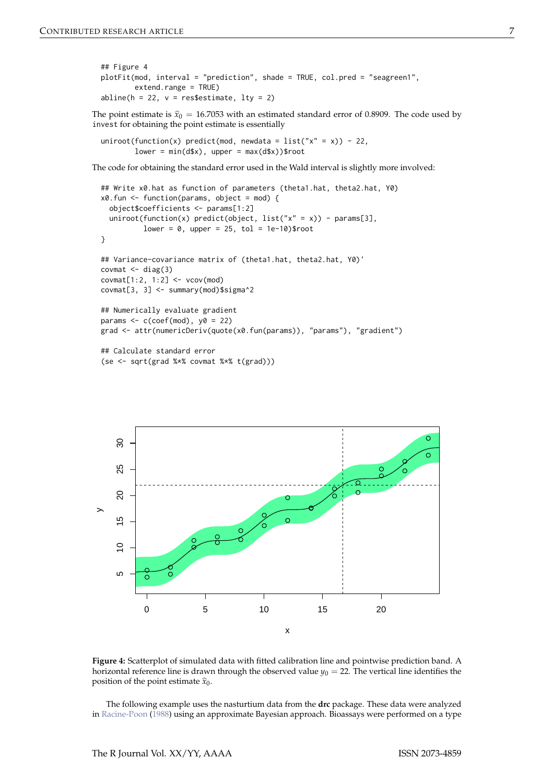```
## Figure 4
plotFit(mod, interval = "prediction", shade = TRUE, col.pred = "seagreen1",
        extend.range = TRUE)
abline(h = 22, v = res$estimate, lty = 2)
```
The point estimate is  $\hat{x}_0 = 16.7053$  with an estimated standard error of 0.8909. The code used by invest for obtaining the point estimate is essentially

```
uniroot(function(x) predict(mod, newdata = list("x" = x)) - 22,
        lower = min(d*x), upper = max(d*x))$root
```
The code for obtaining the standard error used in the Wald interval is slightly more involved:

```
## Write x0.hat as function of parameters (theta1.hat, theta2.hat, Y0)
x0.fun <- function(params, object = mod) {
  object$coefficients <- params[1:2]
  uniroot(function(x) predict(object, list("x" = x)) - params[3],lower = 0, upper = 25, tol = 1e-10)$root
}
## Variance-covariance matrix of (theta1.hat, theta2.hat, Y0)'
covmat \leq diag(3)
covmat[1:2, 1:2] < -vcov(mod)covmat[3, 3] <- summary(mod)$sigma^2
## Numerically evaluate gradient
params \leq c(coef(mod), y0 = 22)
grad <- attr(numericDeriv(quote(x0.fun(params)), "params"), "gradient")
## Calculate standard error
(se <- sqrt(grad %*% covmat %*% t(grad)))
```
<span id="page-6-0"></span>

**Figure 4:** Scatterplot of simulated data with fitted calibration line and pointwise prediction band. A horizontal reference line is drawn through the observed value  $y_0 = 22$ . The vertical line identifies the position of the point estimate  $\hat{x}_0$ .

The following example uses the nasturtium data from the **drc** package. These data were analyzed in [Racine-Poon](#page-10-12) [\(1988\)](#page-10-12) using an approximate Bayesian approach. Bioassays were performed on a type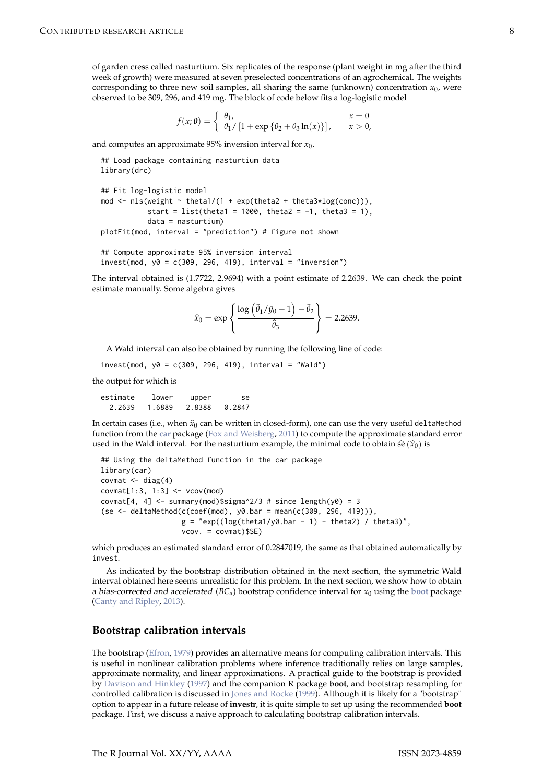<span id="page-7-1"></span>of garden cress called nasturtium. Six replicates of the response (plant weight in mg after the third week of growth) were measured at seven preselected concentrations of an agrochemical. The weights corresponding to three new soil samples, all sharing the same (unknown) concentration  $x_0$ , were observed to be 309, 296, and 419 mg. The block of code below fits a log-logistic model

$$
f(x; \theta) = \begin{cases} \theta_1, & x = 0 \\ \theta_1 / [1 + \exp{\lbrace \theta_2 + \theta_3 \ln(x) \rbrace}], & x > 0, \end{cases}
$$

and computes an approximate 95% inversion interval for  $x_0$ .

```
## Load package containing nasturtium data
library(drc)
## Fit log-logistic model
mod \leq nls(weight \sim theta1/(1 + exp(theta2 + theta3*log(conc))).
           start = list(theta1 = 1000, theta2 = -1, theta3 = 1),
           data = nasturtium)
plotFit(mod, interval = "prediction") # figure not shown
```

```
## Compute approximate 95% inversion interval
invest(mod, y0 = c(309, 296, 419), interval = "inversion")
```
The interval obtained is (1.7722, 2.9694) with a point estimate of 2.2639. We can check the point estimate manually. Some algebra gives

$$
\widehat{x}_0 = \exp\left\{\frac{\log\left(\widehat{\theta}_1/\bar{y}_0 - 1\right) - \widehat{\theta}_2}{\widehat{\theta}_3}\right\} = 2.2639.
$$

A Wald interval can also be obtained by running the following line of code:

 $invest(mod, y0 = c(309, 296, 419), interval = "Wald")$ 

the output for which is

estimate lower upper se 2.2639 1.6889 2.8388 0.2847

In certain cases (i.e., when  $\hat{x}_0$  can be written in closed-form), one can use the very useful deltaMethod function from the **[car](http://CRAN.R-project.org/package=car)** package [\(Fox and Weisberg,](#page-10-13) [2011\)](#page-10-13) to compute the approximate standard error used in the Wald interval. For the nasturtium example, the minimal code to obtain  $\hat{\mathfrak{se}}(\hat{x}_0)$  is

```
## Using the deltaMethod function in the car package
library(car)
covmat \leq diag(4)
covmat[1:3, 1:3] < -vcov(mod)covmat[4, 4] \leq summary(mod)$sigma^2/3 # since length(y0) = 3
(se \leq deltaMethod(c(coeff(mod), y0.bar = mean(c(309, 296, 419))),g = "exp((log(theta1/y0.bar - 1) - theta2) / theta3)",
                   vcov. = covmat)$SE)
```
which produces an estimated standard error of 0.2847019, the same as that obtained automatically by invest.

As indicated by the bootstrap distribution obtained in the next section, the symmetric Wald interval obtained here seems unrealistic for this problem. In the next section, we show how to obtain a bias-corrected and accelerated  $(BC_a)$  [boot](http://CRAN.R-project.org/package=boot)strap confidence interval for  $x_0$  using the boot package [\(Canty and Ripley,](#page-9-4) [2013\)](#page-9-4).

### <span id="page-7-0"></span>**Bootstrap calibration intervals**

The bootstrap [\(Efron,](#page-10-14) [1979\)](#page-10-14) provides an alternative means for computing calibration intervals. This is useful in nonlinear calibration problems where inference traditionally relies on large samples, approximate normality, and linear approximations. A practical guide to the bootstrap is provided by [Davison and Hinkley](#page-9-5) [\(1997\)](#page-9-5) and the companion R package **boot**, and bootstrap resampling for controlled calibration is discussed in [Jones and Rocke](#page-10-15) [\(1999\)](#page-10-15). Although it is likely for a "bootstrap" option to appear in a future release of **investr**, it is quite simple to set up using the recommended **boot** package. First, we discuss a naive approach to calculating bootstrap calibration intervals.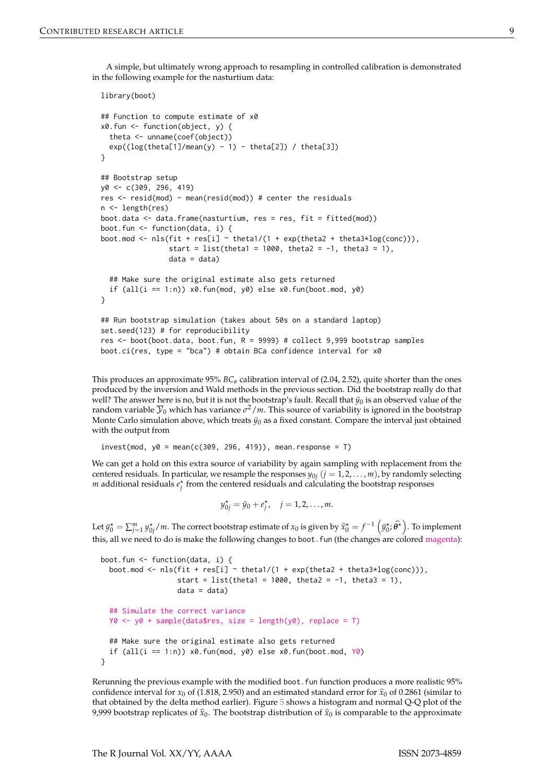A simple, but ultimately wrong approach to resampling in controlled calibration is demonstrated in the following example for the nasturtium data:

```
library(boot)
## Function to compute estimate of x0
x0.fun <- function(object, y) {
 theta <- unname(coef(object))
 exp((log(theta[1]/mean(y) - 1) - theta[2]) / theta[3])}
## Bootstrap setup
y0 <- c(309, 296, 419)
res <- resid(mod) - mean(resid(mod)) # center the residuals
n <- length(res)
boot.data <- data.frame(nasturtium, res = res, fit = fitted(mod))
boot.fun <- function(data, i) {
boot.mod <- nls(fit + res[i] \sim theta1/(1 + exp(theta2 + theta3 * log(conc))),
                start = list(theta1 = 1000, theta2 = -1, theta3 = 1),
                data = data## Make sure the original estimate also gets returned
 if (all(i = 1:n)) x0.fun(mod, y0) else x0.fun(boot.mod, y0)
}
## Run bootstrap simulation (takes about 50s on a standard laptop)
set.seed(123) # for reproducibility
res <- boot(boot.data, boot.fun, R = 9999) # collect 9,999 bootstrap samples
boot.ci(res, type = "bca") # obtain BCa confidence interval for x0
```
This produces an approximate 95% *BCa* calibration interval of (2.04, 2.52), quite shorter than the ones produced by the inversion and Wald methods in the previous section. Did the bootstrap really do that well? The answer here is no, but it is not the bootstrap's fault. Recall that  $\bar{y}_0$  is an observed value of the random variable  $\overline{\mathcal{Y}}_0$  which has variance  $\sigma^2/m$ . This source of variability is ignored in the bootstrap Monte Carlo simulation above, which treats  $\bar{y}_0$  as a fixed constant. Compare the interval just obtained with the output from

 $invest(mod, y0 = mean(c(309, 296, 419)), mean, response = T)$ 

We can get a hold on this extra source of variability by again sampling with replacement from the centered residuals. In particular, we resample the responses  $y_{0j}$   $(j = 1, 2, \ldots, m)$ , by randomly selecting *m* additional residuals  $e_j^*$  from the centered residuals and calculating the bootstrap responses

 $y_{0j}^* = \bar{y}_0 + e_j^*$ ,  $j = 1, 2, ..., m$ .

Let  $\bar{y}_0^* = \sum_{j=1}^m y_{0j}^* / m$ . The correct bootstrap estimate of  $x_0$  is given by  $\hat{x}_0^* = f^{-1} \left( \bar{y}_0^*, \hat{\theta}^* \right)$ . To implement this, all we need to do is make the following changes to boot. fun (the changes are colored magenta):

```
boot.fun <- function(data, i) {
  boot.mod <- nls(fit + res[i] \sim theta1/(1 + exp(theta2 + theta3 * log(conc))),
                  start = list(theta1 = 1000, theta2 = -1, theta3 = 1),
                  data = data)## Simulate the correct variance
  Y0 \leq Y0 + \text{sample}(data\{res}, size = length(y0), replace = T)
  ## Make sure the original estimate also gets returned
  if (all(i = 1:n) x0.fun(mod, y0) else x0.fun(boot.mod, Y0)
}
```
Rerunning the previous example with the modified boot. fun function produces a more realistic 95% confidence interval for  $x_0$  of (1.818, 2.950) and an estimated standard error for  $\hat{x}_0$  of 0.2861 (similar to that obtained by the delta method earlier). Figure [5](#page-9-6) shows a histogram and normal Q-Q plot of the 9,999 bootstrap replicates of  $\hat{x}_0$ . The bootstrap distribution of  $\hat{x}_0$  is comparable to the approximate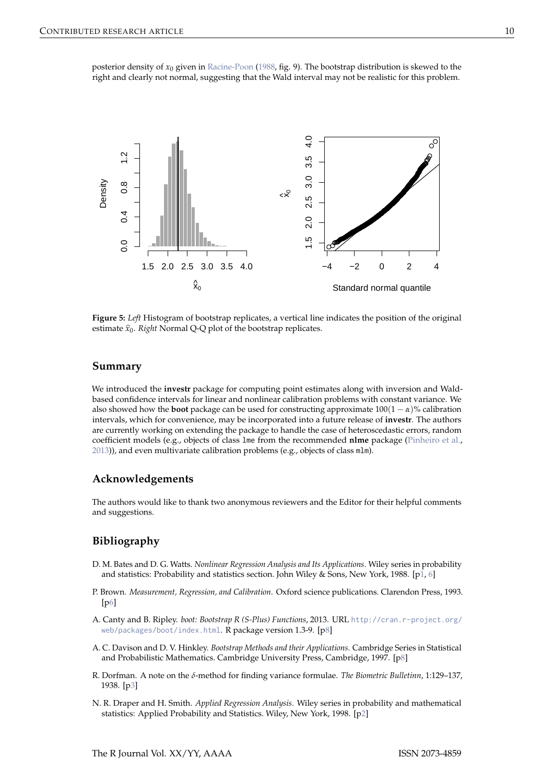<span id="page-9-7"></span><span id="page-9-6"></span>posterior density of *x*<sup>0</sup> given in [Racine-Poon](#page-10-12) [\(1988,](#page-10-12) fig. 9). The bootstrap distribution is skewed to the right and clearly not normal, suggesting that the Wald interval may not be realistic for this problem.



**Figure 5:** *Left* Histogram of bootstrap replicates, a vertical line indicates the position of the original estimate  $\hat{x}_0$ . *Right* Normal Q-Q plot of the bootstrap replicates.

## **Summary**

We introduced the **investr** package for computing point estimates along with inversion and Waldbased confidence intervals for linear and nonlinear calibration problems with constant variance. We also showed how the **boot** package can be used for constructing approximate  $100(1 - \alpha)\%$  calibration intervals, which for convenience, may be incorporated into a future release of **investr**. The authors are currently working on extending the package to handle the case of heteroscedastic errors, random coefficient models (e.g., objects of class lme from the recommended **nlme** package [\(Pinheiro et al.,](#page-10-16) [2013\)](#page-10-16)), and even multivariate calibration problems (e.g., objects of class mlm).

### **Acknowledgements**

The authors would like to thank two anonymous reviewers and the Editor for their helpful comments and suggestions.

# **Bibliography**

- <span id="page-9-0"></span>D. M. Bates and D. G. Watts. *Nonlinear Regression Analysis and Its Applications*. Wiley series in probability and statistics: Probability and statistics section. John Wiley & Sons, New York, 1988. [[p1,](#page-0-1) [6\]](#page-5-0)
- <span id="page-9-3"></span>P. Brown. *Measurement, Regression, and Calibration*. Oxford science publications. Clarendon Press, 1993. [[p6\]](#page-5-0)
- <span id="page-9-4"></span>A. Canty and B. Ripley. *boot: Bootstrap R (S-Plus) Functions*, 2013. URL [http://cran.r-project.org/](http://cran.r-project.org/web/packages/boot/index.html) [web/packages/boot/index.html](http://cran.r-project.org/web/packages/boot/index.html). R package version 1.3-9. [[p8\]](#page-7-1)
- <span id="page-9-5"></span>A. C. Davison and D. V. Hinkley. *Bootstrap Methods and their Applications*. Cambridge Series in Statistical and Probabilistic Mathematics. Cambridge University Press, Cambridge, 1997. [[p8\]](#page-7-1)
- <span id="page-9-2"></span>R. Dorfman. A note on the *δ*-method for finding variance formulae. *The Biometric Bulletinn*, 1:129–137, 1938. [[p3\]](#page-2-3)
- <span id="page-9-1"></span>N. R. Draper and H. Smith. *Applied Regression Analysis*. Wiley series in probability and mathematical statistics: Applied Probability and Statistics. Wiley, New York, 1998. [[p2\]](#page-1-1)